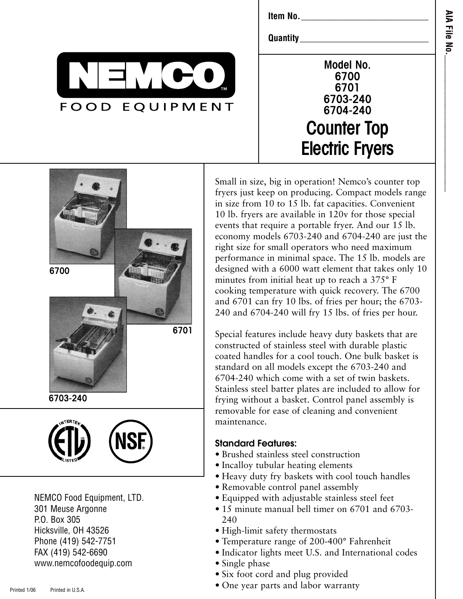**Item No.**\_\_\_\_\_\_\_\_\_\_\_\_\_\_\_\_\_\_\_\_\_\_\_\_\_

**Quantity** 



| Model No.              |
|------------------------|
| 6700                   |
| 6701                   |
| 6703-240               |
| 6704-240               |
| <b>Counter Top</b>     |
| <b>Electric Fryers</b> |





301 Meuse Argonne P.O. Box 305 Hicksville, OH 43526 Phone (419) 542-7751 FAX (419) 542-6690 www.nemcofoodequip.com Small in size, big in operation! Nemco's counter top fryers just keep on producing. Compact models range in size from 10 to 15 lb. fat capacities. Convenient 10 lb. fryers are available in 120v for those special events that require a portable fryer. And our 15 lb. economy models 6703-240 and 6704-240 are just the right size for small operators who need maximum performance in minimal space. The 15 lb. models are designed with a 6000 watt element that takes only 10 minutes from initial heat up to reach a 375° F cooking temperature with quick recovery. The 6700 and 6701 can fry 10 lbs. of fries per hour; the 6703- 240 and 6704-240 will fry 15 lbs. of fries per hour.

Special features include heavy duty baskets that are constructed of stainless steel with durable plastic coated handles for a cool touch. One bulk basket is standard on all models except the 6703-240 and 6704-240 which come with a set of twin baskets. Stainless steel batter plates are included to allow for frying without a basket. Control panel assembly is removable for ease of cleaning and convenient maintenance.

## **Standard Features:**

- Brushed stainless steel construction
- Incalloy tubular heating elements
- Heavy duty fry baskets with cool touch handles
- Removable control panel assembly
- Equipped with adjustable stainless steel feet
- 15 minute manual bell timer on 6701 and 6703-240
- High-limit safety thermostats
- Temperature range of 200-400° Fahrenheit
- Indicator lights meet U.S. and International codes
- Single phase
- Six foot cord and plug provided
- One year parts and labor warranty

**AIA**

**File**

**N o.**